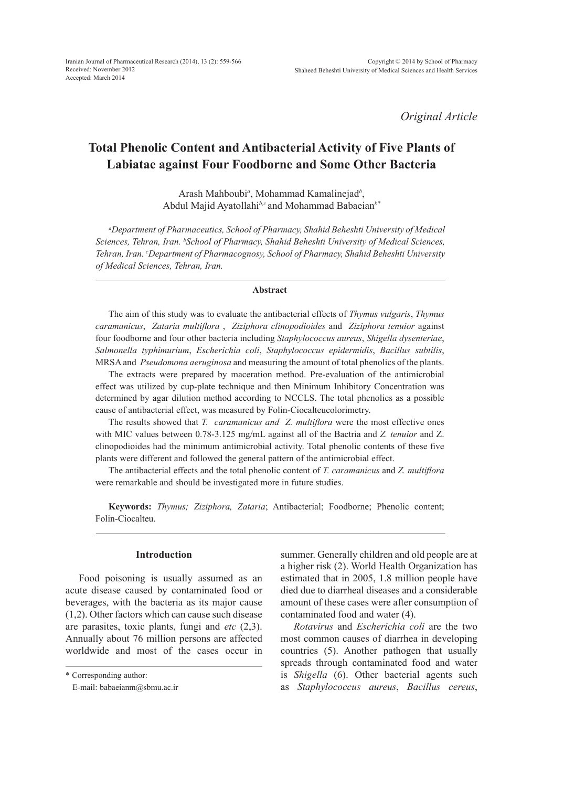*Original Article*

# **Total Phenolic Content and Antibacterial Activity of Five Plants of Labiatae against Four Foodborne and Some Other Bacteria**

Arash Mahboubi*<sup>a</sup>* , Mohammad Kamalinejad*<sup>b</sup>* , Abdul Majid Ayatollahi*b,c* and Mohammad Babaeian*b\**

*a Department of Pharmaceutics, School of Pharmacy, Shahid Beheshti University of Medical Sciences, Tehran, Iran. b School of Pharmacy, Shahid Beheshti University of Medical Sciences, Tehran, Iran. c Department of Pharmacognosy, School of Pharmacy, Shahid Beheshti University of Medical Sciences, Tehran, Iran.*

#### **Abstract**

The aim of this study was to evaluate the antibacterial effects of *Thymus vulgaris*, *Thymus caramanicus*, *Zataria multiflora* , *Ziziphora clinopodioides* and *Ziziphora tenuior* against four foodborne and four other bacteria including *Staphylococcus aureus*, *Shigella dysenteriae*, *Salmonella typhimurium*, *Escherichia coli*, *Staphylococcus epidermidis*, *Bacillus subtilis*, MRSA and *Pseudomona aeruginosa* and measuring the amount of total phenolics of the plants.

The extracts were prepared by maceration method. Pre-evaluation of the antimicrobial effect was utilized by cup-plate technique and then Minimum Inhibitory Concentration was determined by agar dilution method according to NCCLS. The total phenolics as a possible cause of antibacterial effect, was measured by Folin-Ciocalteucolorimetry.

The results showed that *T. caramanicus and Z. multiflora* were the most effective ones with MIC values between 0.78-3.125 mg/mL against all of the Bactria and *Z. tenuior* and Z. clinopodioides had the minimum antimicrobial activity. Total phenolic contents of these five plants were different and followed the general pattern of the antimicrobial effect.

The antibacterial effects and the total phenolic content of *T. caramanicus* and *Z. multiflora* were remarkable and should be investigated more in future studies.

**Keywords:** *Thymus; Ziziphora, Zataria*; Antibacterial; Foodborne; Phenolic content; Folin-Ciocalteu.

## **Introduction**

Food poisoning is usually assumed as an acute disease caused by contaminated food or beverages, with the bacteria as its major cause (1,2). Other factors which can cause such disease are parasites, toxic plants, fungi and *etc* (2,3). Annually about 76 million persons are affected worldwide and most of the cases occur in summer. Generally children and old people are at a higher risk (2). World Health Organization has estimated that in 2005, 1.8 million people have died due to diarrheal diseases and a considerable amount of these cases were after consumption of contaminated food and water (4).

*Rotavirus* and *Escherichia coli* are the two most common causes of diarrhea in developing countries (5). Another pathogen that usually spreads through contaminated food and water is *Shigella* (6). Other bacterial agents such as *Staphylococcus aureus*, *Bacillus cereus*,

<sup>\*</sup> Corresponding author:

E-mail: babaeianm@sbmu.ac.ir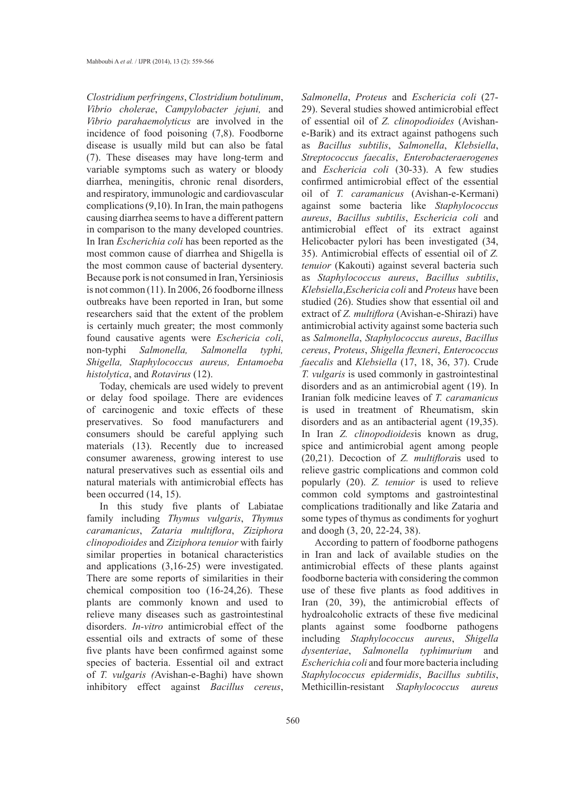*Clostridium perfringens*, *Clostridium botulinum*, *Vibrio cholerae*, *Campylobacter jejuni,* and *Vibrio parahaemolyticus* are involved in the incidence of food poisoning (7,8). Foodborne disease is usually mild but can also be fatal (7). These diseases may have long-term and variable symptoms such as watery or bloody diarrhea, meningitis, chronic renal disorders, and respiratory, immunologic and cardiovascular complications (9,10). In Iran, the main pathogens causing diarrhea seems to have a different pattern in comparison to the many developed countries. In Iran *Escherichia coli* has been reported as the most common cause of diarrhea and Shigella is the most common cause of bacterial dysentery. Because pork is not consumed in Iran, Yersiniosis is not common (11). In 2006, 26 foodborne illness outbreaks have been reported in Iran, but some researchers said that the extent of the problem is certainly much greater; the most commonly found causative agents were *Eschericia coli*, non-typhi *Salmonella, Salmonella typhi, Shigella, Staphylococcus aureus, Entamoeba histolytica*, and *Rotavirus* (12).

Today, chemicals are used widely to prevent or delay food spoilage. There are evidences of carcinogenic and toxic effects of these preservatives. So food manufacturers and consumers should be careful applying such materials (13). Recently due to increased consumer awareness, growing interest to use natural preservatives such as essential oils and natural materials with antimicrobial effects has been occurred (14, 15).

In this study five plants of Labiatae family including *Thymus vulgaris*, *Thymus caramanicus*, *Zataria multiflora*, *Ziziphora clinopodioides* and *Ziziphora tenuior* with fairly similar properties in botanical characteristics and applications (3,16-25) were investigated. There are some reports of similarities in their chemical composition too (16-24,26). These plants are commonly known and used to relieve many diseases such as gastrointestinal disorders. *In-vitro* antimicrobial effect of the essential oils and extracts of some of these five plants have been confirmed against some species of bacteria. Essential oil and extract of *T. vulgaris (*Avishan-e-Baghi) have shown inhibitory effect against *Bacillus cereus*, *Salmonella*, *Proteus* and *Eschericia coli* (27- 29). Several studies showed antimicrobial effect of essential oil of *Z. clinopodioides* (Avishane-Barik) and its extract against pathogens such as *Bacillus subtilis*, *Salmonella*, *Klebsiella*, *Streptococcus faecalis*, *Enterobacteraerogenes* and *Eschericia coli* (30-33). A few studies confirmed antimicrobial effect of the essential oil of *T. caramanicus* (Avishan-e-Kermani) against some bacteria like *Staphylococcus aureus*, *Bacillus subtilis*, *Eschericia coli* and antimicrobial effect of its extract against Helicobacter pylori has been investigated (34, 35). Antimicrobial effects of essential oil of *Z. tenuior* (Kakouti) against several bacteria such as *Staphylococcus aureus*, *Bacillus subtilis*, *Klebsiella*,*Eschericia coli* and *Proteus* have been studied (26). Studies show that essential oil and extract of *Z. multiflora* (Avishan-e-Shirazi) have antimicrobial activity against some bacteria such as *Salmonella*, *Staphylococcus aureus*, *Bacillus cereus*, *Proteus*, *Shigella flexneri*, *Enterococcus faecalis* and *Klebsiella* (17, 18, 36, 37). Crude *T. vulgaris* is used commonly in gastrointestinal disorders and as an antimicrobial agent (19). In Iranian folk medicine leaves of *T. caramanicus* is used in treatment of Rheumatism, skin disorders and as an antibacterial agent (19,35). In Iran *Z. clinopodioides*is known as drug, spice and antimicrobial agent among people (20,21). Decoction of *Z. multiflora*is used to relieve gastric complications and common cold popularly (20). *Z. tenuior* is used to relieve common cold symptoms and gastrointestinal complications traditionally and like Zataria and some types of thymus as condiments for yoghurt and doogh (3, 20, 22-24, 38).

According to pattern of foodborne pathogens in Iran and lack of available studies on the antimicrobial effects of these plants against foodborne bacteria with considering the common use of these five plants as food additives in Iran (20, 39), the antimicrobial effects of hydroalcoholic extracts of these five medicinal plants against some foodborne pathogens including *Staphylococcus aureus*, *Shigella dysenteriae*, *Salmonella typhimurium* and *Escherichia coli* and four more bacteria including *Staphylococcus epidermidis*, *Bacillus subtilis*, Methicillin-resistant *Staphylococcus aureus*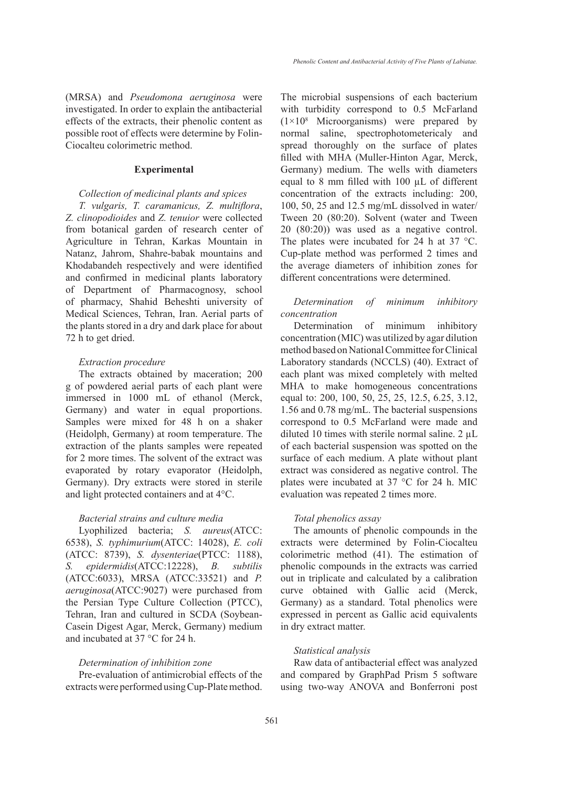(MRSA) and *Pseudomona aeruginosa* were investigated. In order to explain the antibacterial effects of the extracts, their phenolic content as possible root of effects were determine by Folin-Ciocalteu colorimetric method.

#### **Experimental**

## *Collection of medicinal plants and spices*

*T. vulgaris, T. caramanicus, Z. multiflora*, *Z. clinopodioides* and *Z. tenuior* were collected from botanical garden of research center of Agriculture in Tehran, Karkas Mountain in Natanz, Jahrom, Shahre-babak mountains and Khodabandeh respectively and were identified and confirmed in medicinal plants laboratory of Department of Pharmacognosy, school of pharmacy, Shahid Beheshti university of Medical Sciences, Tehran, Iran. Aerial parts of the plants stored in a dry and dark place for about 72 h to get dried.

#### *Extraction procedure*

The extracts obtained by maceration; 200 g of powdered aerial parts of each plant were immersed in 1000 mL of ethanol (Merck, Germany) and water in equal proportions. Samples were mixed for 48 h on a shaker (Heidolph, Germany) at room temperature. The extraction of the plants samples were repeated for 2 more times. The solvent of the extract was evaporated by rotary evaporator (Heidolph, Germany). Dry extracts were stored in sterile and light protected containers and at 4°C.

## *Bacterial strains and culture media*

Lyophilized bacteria; *S. aureus*(ATCC: 6538), *S. typhimurium*(ATCC: 14028), *E. coli*  (ATCC: 8739), *S. dysenteriae*(PTCC: 1188), *S. epidermidis*(ATCC:12228), *B. subtilis* (ATCC:6033), MRSA (ATCC:33521) and *P. aeruginosa*(ATCC:9027) were purchased from the Persian Type Culture Collection (PTCC), Tehran, Iran and cultured in SCDA (Soybean-Casein Digest Agar, Merck, Germany) medium and incubated at 37 °C for 24 h.

#### *Determination of inhibition zone*

Pre-evaluation of antimicrobial effects of the extracts were performed using Cup-Plate method. The microbial suspensions of each bacterium with turbidity correspond to 0.5 McFarland  $(1 \times 10^8)$  Microorganisms) were prepared by normal saline, spectrophotometericaly and spread thoroughly on the surface of plates filled with MHA (Muller-Hinton Agar, Merck, Germany) medium. The wells with diameters equal to 8 mm filled with 100 µL of different concentration of the extracts including: 200, 100, 50, 25 and 12.5 mg/mL dissolved in water/ Tween 20 (80:20). Solvent (water and Tween 20 (80:20)) was used as a negative control. The plates were incubated for 24 h at 37 °C. Cup-plate method was performed 2 times and the average diameters of inhibition zones for different concentrations were determined.

## *Determination of minimum inhibitory concentration*

Determination of minimum inhibitory concentration (MIC) was utilized by agar dilution method based on National Committee for Clinical Laboratory standards (NCCLS) (40). Extract of each plant was mixed completely with melted MHA to make homogeneous concentrations equal to: 200, 100, 50, 25, 25, 12.5, 6.25, 3.12, 1.56 and 0.78 mg/mL. The bacterial suspensions correspond to 0.5 McFarland were made and diluted 10 times with sterile normal saline.  $2 \mu L$ of each bacterial suspension was spotted on the surface of each medium. A plate without plant extract was considered as negative control. The plates were incubated at 37 °C for 24 h. MIC evaluation was repeated 2 times more.

#### *Total phenolics assay*

The amounts of phenolic compounds in the extracts were determined by Folin-Ciocalteu colorimetric method (41). The estimation of phenolic compounds in the extracts was carried out in triplicate and calculated by a calibration curve obtained with Gallic acid (Merck, Germany) as a standard. Total phenolics were expressed in percent as Gallic acid equivalents in dry extract matter.

## *Statistical analysis*

Raw data of antibacterial effect was analyzed and compared by GraphPad Prism 5 software using two-way ANOVA and Bonferroni post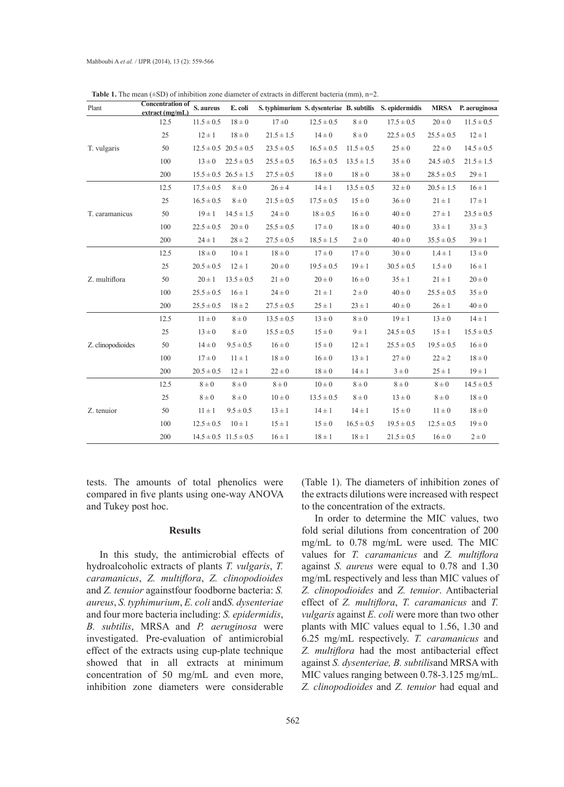| Plant             | <b>Concentration of</b><br>extract(mg/mL) | S. aureus      | E. coli                       |                |                |                | S. typhimurium S. dysenteriae B. subtilis S. epidermidis |                | MRSA P. aeruginosa |
|-------------------|-------------------------------------------|----------------|-------------------------------|----------------|----------------|----------------|----------------------------------------------------------|----------------|--------------------|
|                   | 12.5                                      | $11.5 \pm 0.5$ | $18 \pm 0$                    | 17±0           | $12.5 \pm 0.5$ | $8\pm0$        | $17.5 \pm 0.5$                                           | $20 \pm 0$     | $11.5 \pm 0.5$     |
| T. vulgaris       | 25                                        | $12 \pm 1$     | $18 \pm 0$                    | $21.5 \pm 1.5$ | $14 \pm 0$     | $8 \pm 0$      | $22.5 \pm 0.5$                                           | $25.5 \pm 0.5$ | $12 \pm 1$         |
|                   | 50                                        |                | $12.5 \pm 0.5$ $20.5 \pm 0.5$ | $23.5 \pm 0.5$ | $16.5 \pm 0.5$ | $11.5 \pm 0.5$ | $25 \pm 0$                                               | $22 \pm 0$     | $14.5 \pm 0.5$     |
|                   | 100                                       | $13 \pm 0$     | $22.5 \pm 0.5$                | $25.5 \pm 0.5$ | $16.5 \pm 0.5$ | $13.5 \pm 1.5$ | $35 \pm 0$                                               | $24.5 \pm 0.5$ | $21.5 \pm 1.5$     |
|                   | 200                                       |                | $15.5 \pm 0.5$ $26.5 \pm 1.5$ | $27.5 \pm 0.5$ | $18 \pm 0$     | $18 \pm 0$     | $38 \pm 0$                                               | $28.5 \pm 0.5$ | $29 \pm 1$         |
|                   | 12.5                                      | $17.5 \pm 0.5$ | $8 \pm 0$                     | $26 \pm 4$     | $14 \pm 1$     | $13.5 \pm 0.5$ | $32 \pm 0$                                               | $20.5 \pm 1.5$ | $16 \pm 1$         |
|                   | 25                                        | $16.5 \pm 0.5$ | $8\pm0$                       | $21.5 \pm 0.5$ | $17.5 \pm 0.5$ | $15 \pm 0$     | $36 \pm 0$                                               | $21 \pm 1$     | $17 \pm 1$         |
| T. caramanicus    | 50                                        | $19 \pm 1$     | $14.5 \pm 1.5$                | $24 \pm 0$     | $18 \pm 0.5$   | $16 \pm 0$     | $40 \pm 0$                                               | $27 \pm 1$     | $23.5 \pm 0.5$     |
|                   | 100                                       | $22.5 \pm 0.5$ | $20 \pm 0$                    | $25.5 \pm 0.5$ | $17 \pm 0$     | $18 \pm 0$     | $40 \pm 0$                                               | $33 \pm 1$     | $33 \pm 3$         |
|                   | 200                                       | $24 \pm 1$     | $28 \pm 2$                    | $27.5 \pm 0.5$ | $18.5 \pm 1.5$ | $2\pm 0$       | $40 \pm 0$                                               | $35.5 \pm 0.5$ | $39 \pm 1$         |
| Z. multiflora     | 12.5                                      | $18 \pm 0$     | $10 \pm 1$                    | $18 \pm 0$     | $17 \pm 0$     | $17 \pm 0$     | $30 \pm 0$                                               | $1.4 \pm 1$    | $13 \pm 0$         |
|                   | 25                                        | $20.5 \pm 0.5$ | $12 \pm 1$                    | $20 \pm 0$     | $19.5 \pm 0.5$ | $19 \pm 1$     | $30.5 \pm 0.5$                                           | $1.5 \pm 0$    | $16 \pm 1$         |
|                   | 50                                        | $20 \pm 1$     | $13.5 \pm 0.5$                | $21 \pm 0$     | $20 \pm 0$     | $16 \pm 0$     | $35 \pm 1$                                               | $21 \pm 1$     | $20 \pm 0$         |
|                   | 100                                       | $25.5 \pm 0.5$ | $16 \pm 1$                    | $24 \pm 0$     | $21 \pm 1$     | $2\pm 0$       | $40 \pm 0$                                               | $25.5 \pm 0.5$ | $35 \pm 0$         |
|                   | 200                                       | $25.5 \pm 0.5$ | $18 \pm 2$                    | $27.5 \pm 0.5$ | $25 \pm 1$     | $23 \pm 1$     | $40 \pm 0$                                               | $26 \pm 1$     | $40 \pm 0$         |
| Z. clinopodioides | 12.5                                      | $11 \pm 0$     | $8 \pm 0$                     | $13.5 \pm 0.5$ | $13 \pm 0$     | $8 \pm 0$      | $19 \pm 1$                                               | $13 \pm 0$     | $14 \pm 1$         |
|                   | 25                                        | $13 \pm 0$     | $8 \pm 0$                     | $15.5 \pm 0.5$ | $15 \pm 0$     | $9 \pm 1$      | $24.5 \pm 0.5$                                           | $15 \pm 1$     | $15.5 \pm 0.5$     |
|                   | 50                                        | $14 \pm 0$     | $9.5 \pm 0.5$                 | $16 \pm 0$     | $15 \pm 0$     | $12 \pm 1$     | $25.5 \pm 0.5$                                           | $19.5 \pm 0.5$ | $16 \pm 0$         |
|                   | 100                                       | $17 \pm 0$     | $11 \pm 1$                    | $18 \pm 0$     | $16 \pm 0$     | $13 \pm 1$     | $27 \pm 0$                                               | $22 \pm 2$     | $18 \pm 0$         |
|                   | 200                                       | $20.5 \pm 0.5$ | $12 \pm 1$                    | $22 \pm 0$     | $18 \pm 0$     | $14 \pm 1$     | $3\pm0$                                                  | $25 \pm 1$     | $19 \pm 1$         |
| Z. tenuior        | 12.5                                      | $8\pm0$        | $8\pm0$                       | $8\pm0$        | $10 \pm 0$     | $8\pm0$        | $8\pm0$                                                  | $8\pm0$        | $14.5 \pm 0.5$     |
|                   | 25                                        | $8\pm0$        | $8\pm0$                       | $10 \pm 0$     | $13.5 \pm 0.5$ | $8\pm0$        | $13 \pm 0$                                               | $8\pm0$        | $18 \pm 0$         |
|                   | 50                                        | $11 \pm 1$     | $9.5 \pm 0.5$                 | $13 \pm 1$     | $14 \pm 1$     | $14 \pm 1$     | $15 \pm 0$                                               | $11 \pm 0$     | $18 \pm 0$         |
|                   | 100                                       | $12.5 \pm 0.5$ | $10 \pm 1$                    | $15 \pm 1$     | $15 \pm 0$     | $16.5 \pm 0.5$ | $19.5 \pm 0.5$                                           | $12.5 \pm 0.5$ | $19 \pm 0$         |
|                   | 200                                       |                | $14.5 \pm 0.5$ $11.5 \pm 0.5$ | $16 \pm 1$     | $18 \pm 1$     | $18 \pm 1$     | $21.5 \pm 0.5$                                           | $16 \pm 0$     | $2\pm 0$           |

**Table 1.** The mean  $(\pm SD)$  of inhibition zone diameter of extracts in different bacteria (mm),  $n=2$ .

tests. The amounts of total phenolics were compared in five plants using one-way ANOVA and Tukey post hoc.

## **Results**

In this study, the antimicrobial effects of hydroalcoholic extracts of plants *T. vulgaris*, *T. caramanicus*, *Z. multiflora*, *Z. clinopodioides* and *Z. tenuior* againstfour foodborne bacteria: *S. aureus*, *S. typhimurium*, *E. coli* and*S. dysenteriae*  and four more bacteria including: *S. epidermidis*, *B. subtilis*, MRSA and *P. aeruginosa* were investigated. Pre-evaluation of antimicrobial effect of the extracts using cup-plate technique showed that in all extracts at minimum concentration of 50 mg/mL and even more, inhibition zone diameters were considerable

(Table 1). The diameters of inhibition zones of the extracts dilutions were increased with respect to the concentration of the extracts.

In order to determine the MIC values, two fold serial dilutions from concentration of 200 mg/mL to 0.78 mg/mL were used. The MIC values for *T. caramanicus* and *Z. multiflora*  against *S. aureus* were equal to 0.78 and 1.30 mg/mL respectively and less than MIC values of *Z. clinopodioides* and *Z. tenuior*. Antibacterial effect of *Z. multiflora*, *T. caramanicus* and *T. vulgaris* against *E. coli* were more than two other plants with MIC values equal to 1.56, 1.30 and 6.25 mg/mL respectively. *T. caramanicus* and *Z. multiflora* had the most antibacterial effect against *S. dysenteriae, B. subtilis*and MRSA with MIC values ranging between 0.78-3.125 mg/mL. *Z. clinopodioides* and *Z. tenuior* had equal and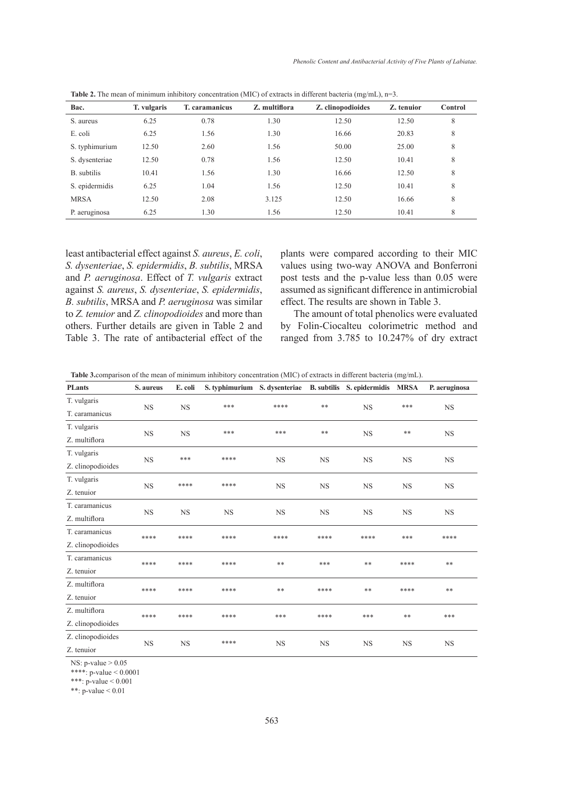| Bac.           | T. vulgaris | <b>T.</b> caramanicus | Z. multiflora | $\overline{\phantom{0}}$<br>Z. clinopodioides | $\overline{\phantom{a}}$<br>Z. tenuior | Control |
|----------------|-------------|-----------------------|---------------|-----------------------------------------------|----------------------------------------|---------|
| S. aureus      | 6.25        | 0.78                  | 1.30          | 12.50                                         | 12.50                                  | 8       |
| E. coli        | 6.25        | 1.56                  | 1.30          | 16.66                                         | 20.83                                  | 8       |
| S. typhimurium | 12.50       | 2.60                  | 1.56          | 50.00                                         | 25.00                                  | 8       |
| S. dysenteriae | 12.50       | 0.78                  | 1.56          | 12.50                                         | 10.41                                  | 8       |
| B. subtilis    | 10.41       | 1.56                  | 1.30          | 16.66                                         | 12.50                                  | 8       |
| S. epidermidis | 6.25        | 1.04                  | 1.56          | 12.50                                         | 10.41                                  | 8       |
| <b>MRSA</b>    | 12.50       | 2.08                  | 3.125         | 12.50                                         | 16.66                                  | 8       |
| P. aeruginosa  | 6.25        | 1.30                  | 1.56          | 12.50                                         | 10.41                                  | 8       |

**Table 2.** The mean of minimum inhibitory concentration (MIC) of extracts in different bacteria (mg/mL), n=3.

least antibacterial effect against *S. aureus*, *E. coli*, *S. dysenteriae*, *S. epidermidis*, *B. subtilis*, MRSA and *P. aeruginosa*. Effect of *T. vulgaris* extract against *S. aureus*, *S. dysenteriae*, *S. epidermidis*, *B. subtilis*, MRSA and *P. aeruginosa* was similar to *Z. tenuior* and *Z. clinopodioides* and more than others. Further details are given in Table 2 and Table 3. The rate of antibacterial effect of the plants were compared according to their MIC values using two-way ANOVA and Bonferroni post tests and the p-value less than 0.05 were assumed as significant difference in antimicrobial effect. The results are shown in Table 3.

The amount of total phenolics were evaluated by Folin-Ciocalteu colorimetric method and ranged from 3.785 to 10.247% of dry extract

**Table 3.**comparison of the mean of minimum inhibitory concentration (MIC) of extracts in different bacteria (mg/mL).

| <b>PLants</b>     | S. aureus | E. coli   | S. typhimurium S. dysenteriae B. subtilis S. epidermidis MRSA |           |           |           |           | P. aeruginosa |
|-------------------|-----------|-----------|---------------------------------------------------------------|-----------|-----------|-----------|-----------|---------------|
| T. vulgaris       | <b>NS</b> | <b>NS</b> | ***                                                           | ****      | **        | <b>NS</b> | ***       | <b>NS</b>     |
| T. caramanicus    |           |           |                                                               |           |           |           |           |               |
| T. vulgaris       | <b>NS</b> | <b>NS</b> | ***                                                           | ***       | $***$     | <b>NS</b> | **        | <b>NS</b>     |
| Z. multiflora     |           |           |                                                               |           |           |           |           |               |
| T. vulgaris       | <b>NS</b> | ***       | ****                                                          | <b>NS</b> | <b>NS</b> | <b>NS</b> | <b>NS</b> | <b>NS</b>     |
| Z. clinopodioides |           |           |                                                               |           |           |           |           |               |
| T. vulgaris       |           | ****      | ****                                                          | <b>NS</b> | <b>NS</b> | <b>NS</b> | <b>NS</b> | <b>NS</b>     |
| Z. tenuior        | <b>NS</b> |           |                                                               |           |           |           |           |               |
| T. caramanicus    | <b>NS</b> | <b>NS</b> | <b>NS</b>                                                     | <b>NS</b> | <b>NS</b> | <b>NS</b> | <b>NS</b> | <b>NS</b>     |
| Z. multiflora     |           |           |                                                               |           |           |           |           |               |
| T. caramanicus    | ****      | ****      | ****                                                          | ****      | ****      | ****      | ***       | ****          |
| Z. clinopodioides |           |           |                                                               |           |           |           |           |               |
| T. caramanicus    | ****      | ****      | ****                                                          | $***$     | ***       | $***$     | ****      | **            |
| Z. tenuior        |           |           |                                                               |           |           |           |           |               |
| Z. multiflora     | ****      | ****      | ****                                                          | **        | ****      | **        | ****      | **            |
| Z. tenuior        |           |           |                                                               |           |           |           |           |               |
| Z. multiflora     | ****      | ****      | ****                                                          | ***       | ****      | ***       | **        | ***           |
| Z. clinopodioides |           |           |                                                               |           |           |           |           |               |
| Z. clinopodioides | <b>NS</b> | <b>NS</b> | ****                                                          | <b>NS</b> | <b>NS</b> | <b>NS</b> | <b>NS</b> | <b>NS</b>     |
| Z. tenuior        |           |           |                                                               |           |           |           |           |               |

NS: p-value > 0.05

\*\*\*\*: p-value  $< 0.0001$ 

\*\*\*: p-value < 0.001

\*\*: p-value < 0.01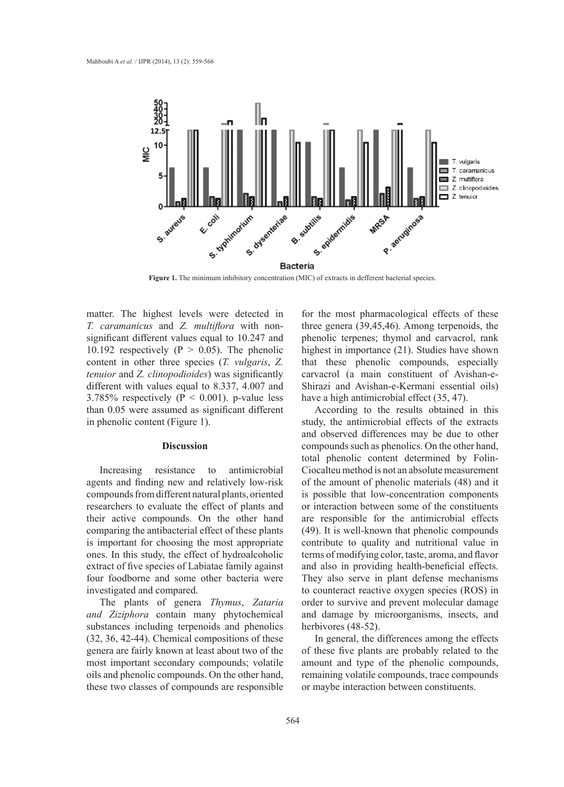

Figure 1. The minimum inhibitory concentration (MIC) of extracts in defferent bacterial species.

matter. The highest levels were detected in *T. caramanicus* and *Z. multiflora* with nonsignificant different values equal to 10.247 and 10.192 respectively ( $P > 0.05$ ). The phenolic content in other three species (*T. vulgaris*, *Z. tenuior* and *Z. clinopodioides*) was significantly different with values equal to 8.337, 4.007 and 3.785% respectively ( $P < 0.001$ ). p-value less than 0.05 were assumed as significant different in phenolic content (Figure 1).

## **Discussion**

Increasing resistance to antimicrobial agents and finding new and relatively low-risk compounds from different natural plants, oriented researchers to evaluate the effect of plants and their active compounds. On the other hand comparing the antibacterial effect of these plants is important for choosing the most appropriate ones. In this study, the effect of hydroalcoholic extract of five species of Labiatae family against four foodborne and some other bacteria were investigated and compared.

The plants of genera *Thymus*, *Zataria and Ziziphora* contain many phytochemical substances including terpenoids and phenolics (32, 36, 42-44). Chemical compositions of these genera are fairly known at least about two of the most important secondary compounds; volatile oils and phenolic compounds. On the other hand, these two classes of compounds are responsible

for the most pharmacological effects of these three genera (39,45,46). Among terpenoids, the phenolic terpenes; thymol and carvacrol, rank highest in importance (21). Studies have shown that these phenolic compounds, especially carvacrol (a main constituent of Avishan-e-Shirazi and Avishan-e-Kermani essential oils) have a high antimicrobial effect  $(35, 47)$ .

According to the results obtained in this study, the antimicrobial effects of the extracts and observed differences may be due to other compounds such as phenolics. On the other hand, total phenolic content determined by Folin-Ciocalteu method is not an absolute measurement of the amount of phenolic materials (48) and it is possible that low-concentration components or interaction between some of the constituents are responsible for the antimicrobial effects (49). It is well-known that phenolic compounds contribute to quality and nutritional value in terms of modifying color, taste, aroma, and flavor and also in providing health-beneficial effects. They also serve in plant defense mechanisms to counteract reactive oxygen species (ROS) in order to survive and prevent molecular damage and damage by microorganisms, insects, and herbivores (48-52).

In general, the differences among the effects of these five plants are probably related to the amount and type of the phenolic compounds, remaining volatile compounds, trace compounds or maybe interaction between constituents.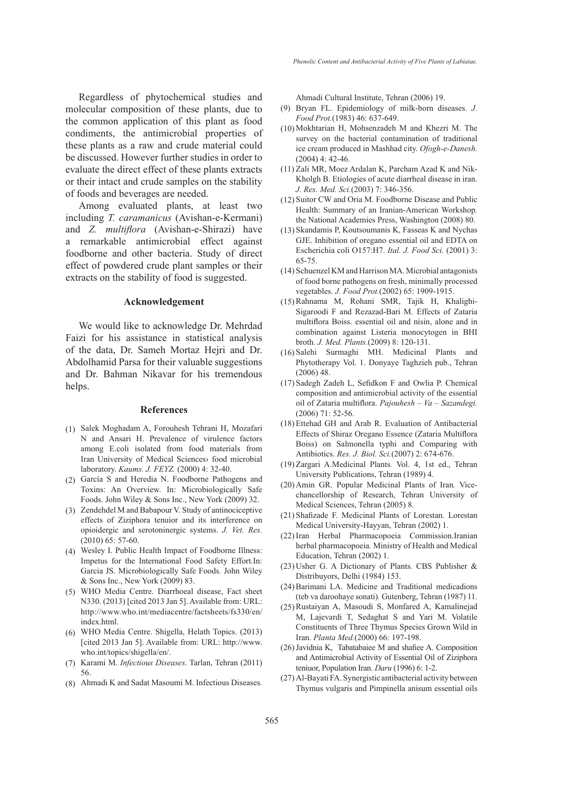Regardless of phytochemical studies and molecular composition of these plants, due to the common application of this plant as food condiments, the antimicrobial properties of these plants as a raw and crude material could be discussed. However further studies in order to evaluate the direct effect of these plants extracts or their intact and crude samples on the stability of foods and beverages are needed.

Among evaluated plants, at least two including *T. caramanicus* (Avishan-e-Kermani) and *Z. multiflora* (Avishan-e-Shirazi) have a remarkable antimicrobial effect against foodborne and other bacteria. Study of direct effect of powdered crude plant samples or their extracts on the stability of food is suggested.

#### **Acknowledgement**

We would like to acknowledge Dr. Mehrdad Faizi for his assistance in statistical analysis of the data, Dr. Sameh Mortaz Hejri and Dr. Abdolhamid Parsa for their valuable suggestions and Dr. Bahman Nikavar for his tremendous helps.

### **References**

- (1) Salek Moghadam A, Forouhesh Tehrani H, Mozafari N and Ansari H. Prevalence of virulence factors among E.coli isolated from food materials from Iran University of Medical Sciences› food microbial laboratory. *Kaums. J. FEYZ.* (2000) 4: 32-40.
- (2) García S and Heredia N. Foodborne Pathogens and Toxins: An Overview. In: Microbiologically Safe Foods. John Wiley & Sons Inc., New York (2009) 32.
- (3) Zendehdel M and Babapour V. Study of antinociceptive effects of Ziziphora tenuior and its interference on opioidergic and serotoninergic systems. *J. Vet. Res.* (2010) 65: 57-60.
- Wesley I. Public Health Impact of Foodborne Illness: (4) Impetus for the International Food Safety Effort.In: Garcia JS. Microbiologically Safe Foods*.* John Wiley & Sons Inc., New York (2009) 83.
- WHO Media Centre. Diarrhoeal disease, Fact sheet (5) N330. (2013) [cited 2013 Jan 5]. Available from: URL: http://www.who.int/mediacentre/factsheets/fs330/en/ index.html.
- WHO Media Centre. Shigella, Helath Topics. (2013) (6) [cited 2013 Jan 5]. Available from: URL: http://www. who.int/topics/shigella/en/.
- (7) Karami M. *Infectious Diseases*. Tarlan, Tehran (2011) 56.
- Ahmadi K and Sadat Masoumi M. Infectious Diseases*.* (8)

Ahmadi Cultural Institute, Tehran (2006) 19.

- Bryan FL. Epidemiology of milk-born diseases. *J.*  (9) *Food Prot.*(1983) 46: 637-649.
- $(10)$  Mokhtarian H, Mohsenzadeh M and Khezri M. The survey on the bacterial contamination of traditional ice cream produced in Mashhad city. *Ofogh-e-Danesh.* (2004) 4: 42-46.
- $(11)$  Zali MR, Moez Ardalan K, Parcham Azad K and Nik-Kholgh B. Etiologies of acute diarrheal disease in iran. *J. Res. Med. Sci.*(2003) 7: 346-356.
- $(12)$  Suitor CW and Oria M. Foodborne Disease and Public Health: Summary of an Iranian-American Workshop*.* the National Academies Press, Washington (2008) 80.
- $(13)$  Skandamis P, Koutsoumanis K, Fasseas K and Nychas GJE. Inhibition of oregano essential oil and EDTA on Escherichia coli O157:H7. *Ital. J. Food Sci.* (2001) 3: 65-75.
- (14) Schuenzel KM and Harrison MA. Microbial antagonists of food borne pathogens on fresh, minimally processed vegetables. *J. Food Prot.*(2002) 65: 1909-1915.
- (15) Rahnama M, Rohani SMR, Tajik H, Khalighi-Sigaroodi F and Rezazad-Bari M. Effects of Zataria multiflora Boiss. essential oil and nisin, alone and in combination against Listeria monocytogen in BHI broth. *J. Med. Plants.*(2009) 8: 120-131.
- (16) Salehi Surmaghi MH. Medicinal Plants and Phytotherapy Vol. 1. Donyaye Taghzieh pub., Tehran (2006) 48.
- (17) Sadegh Zadeh L, Sefidkon F and Owlia P. Chemical composition and antimicrobial activity of the essential oil of Zataria multiflora. *Pajouhesh – Va – Sazandegi.* (2006) 71: 52-56.
- (18) Ettehad GH and Arab R. Evaluation of Antibacterial Effects of Shiraz Oregano Essence (Zataria Multiflora Boiss) on Salmonella typhi and Comparing with Antibiotics. *Res. J. Biol. Sci.*(2007) 2: 674-676.
- (19) Zargari A.Medicinal Plants. Vol. 4, 1st ed., Tehran University Publications, Tehran (1989) 4.
- (20) Amin GR. Popular Medicinal Plants of Iran. Vicechancellorship of Research, Tehran University of Medical Sciences, Tehran (2005) 8.
- (21) Shafizade F. Medicinal Plants of Lorestan. Lorestan Medical University-Hayyan, Tehran (2002) 1.
- (22) Iran Herbal Pharmacopoeia Commission.Iranian herbal pharmacopoeia*.* Ministry of Health and Medical Education, Tehran (2002) 1.
- Usher G. A Dictionary of Plants*.* CBS Publisher & (23) Distribuyors, Delhi (1984) 153.
- (24) Barimani LA. Medicine and Traditional medicadions (teb va daroohaye sonati)*.* Gutenberg, Tehran (1987) 11.
- (25) Rustaiyan A, Masoudi S, Monfared A, Kamalinejad M, Lajevardi T, Sedaghat S and Yari M. Volatile Constituents of Three Thymus Species Grown Wild in Iran. *Planta Med.*(2000) 66: 197-198.
- $(26)$  Javidnia K, Tabatabaiee M and shafiee A. Composition and Antimicrobial Activity of Essential Oil of Ziziphora teniuor, Population Iran. *Daru* (1996) 6: 1-2.
- Al-Bayati FA. Synergistic antibacterial activity between (27)Thymus vulgaris and Pimpinella anisum essential oils